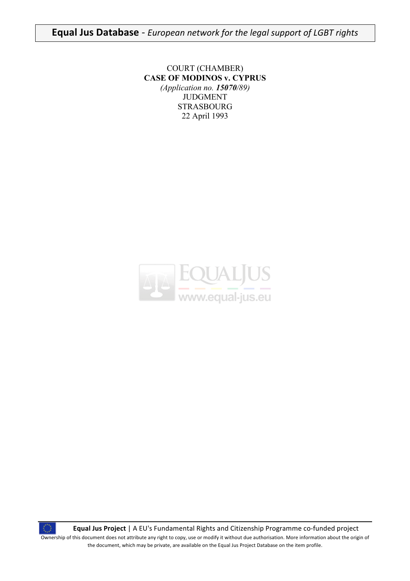**Equal
Jus
Database** ‐ *European
network
for
the
legal
support
of
LGBT
rights*

COURT (CHAMBER) **CASE OF MODINOS v. CYPRUS** *(Application no. 15070/89)* JUDGMENT STRASBOURG 22 April 1993



Equal Jus Project | A EU's Fundamental Rights and Citizenship Programme co-funded project Ownership of this document does not attribute any right to copy, use or modify it without due authorisation. More information about the origin of the document, which may be private, are available on the Equal Jus Project Database on the item profile.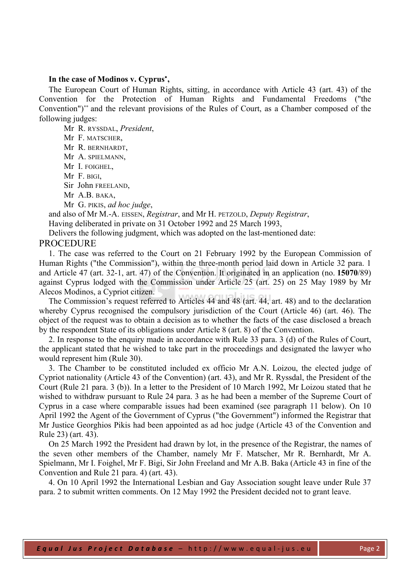# **In the case of Modinos v. Cyprus**<sup>∗</sup> **,**

The European Court of Human Rights, sitting, in accordance with Article 43 (art. 43) of the Convention for the Protection of Human Rights and Fundamental Freedoms ("the Convention")∗∗ and the relevant provisions of the Rules of Court, as a Chamber composed of the following judges:

Mr R. RYSSDAL, *President*, Mr F. MATSCHER, Mr R. BERNHARDT, Mr A. SPIELMANN, Mr I. FOIGHEL, Mr F. BIGI, Sir John FREELAND,

Mr A.B. BAKA,

Mr G. PIKIS, *ad hoc judge*,

and also of Mr M.-A. EISSEN, *Registrar*, and Mr H. PETZOLD, *Deputy Registrar*,

Having deliberated in private on 31 October 1992 and 25 March 1993,

Delivers the following judgment, which was adopted on the last-mentioned date:

## PROCEDURE

1. The case was referred to the Court on 21 February 1992 by the European Commission of Human Rights ("the Commission"), within the three-month period laid down in Article 32 para. 1 and Article 47 (art. 32-1, art. 47) of the Convention. It originated in an application (no. **15070**/89) against Cyprus lodged with the Commission under Article 25 (art. 25) on 25 May 1989 by Mr Alecos Modinos, a Cypriot citizen.

The Commission's request referred to Articles 44 and 48 (art. 44, art. 48) and to the declaration whereby Cyprus recognised the compulsory jurisdiction of the Court (Article 46) (art. 46). The object of the request was to obtain a decision as to whether the facts of the case disclosed a breach by the respondent State of its obligations under Article 8 (art. 8) of the Convention.

2. In response to the enquiry made in accordance with Rule 33 para. 3 (d) of the Rules of Court, the applicant stated that he wished to take part in the proceedings and designated the lawyer who would represent him (Rule 30).

3. The Chamber to be constituted included ex officio Mr A.N. Loizou, the elected judge of Cypriot nationality (Article 43 of the Convention) (art. 43), and Mr R. Ryssdal, the President of the Court (Rule 21 para. 3 (b)). In a letter to the President of 10 March 1992, Mr Loizou stated that he wished to withdraw pursuant to Rule 24 para. 3 as he had been a member of the Supreme Court of Cyprus in a case where comparable issues had been examined (see paragraph 11 below). On 10 April 1992 the Agent of the Government of Cyprus ("the Government") informed the Registrar that Mr Justice Georghios Pikis had been appointed as ad hoc judge (Article 43 of the Convention and Rule 23) (art. 43).

On 25 March 1992 the President had drawn by lot, in the presence of the Registrar, the names of the seven other members of the Chamber, namely Mr F. Matscher, Mr R. Bernhardt, Mr A. Spielmann, Mr I. Foighel, Mr F. Bigi, Sir John Freeland and Mr A.B. Baka (Article 43 in fine of the Convention and Rule 21 para. 4) (art. 43).

4. On 10 April 1992 the International Lesbian and Gay Association sought leave under Rule 37 para. 2 to submit written comments. On 12 May 1992 the President decided not to grant leave.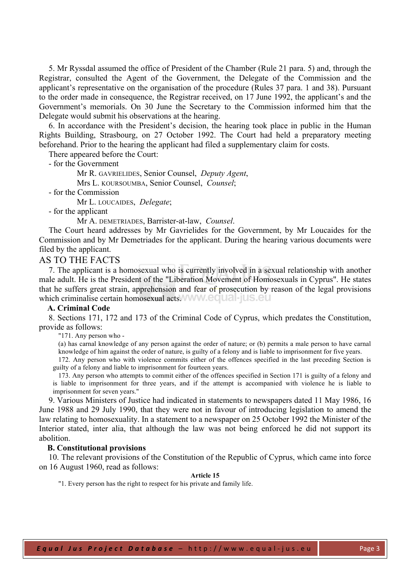5. Mr Ryssdal assumed the office of President of the Chamber (Rule 21 para. 5) and, through the Registrar, consulted the Agent of the Government, the Delegate of the Commission and the applicant's representative on the organisation of the procedure (Rules 37 para. 1 and 38). Pursuant to the order made in consequence, the Registrar received, on 17 June 1992, the applicant's and the Government's memorials. On 30 June the Secretary to the Commission informed him that the Delegate would submit his observations at the hearing.

6. In accordance with the President's decision, the hearing took place in public in the Human Rights Building, Strasbourg, on 27 October 1992. The Court had held a preparatory meeting beforehand. Prior to the hearing the applicant had filed a supplementary claim for costs.

There appeared before the Court:

- for the Government

Mr R. GAVRIELIDES, Senior Counsel, *Deputy Agent*,

Mrs L. KOURSOUMBA, Senior Counsel, *Counsel*;

- for the Commission

Mr L. LOUCAIDES, *Delegate*;

- for the applicant

Mr A. DEMETRIADES, Barrister-at-law, *Counsel*.

The Court heard addresses by Mr Gavrielides for the Government, by Mr Loucaides for the Commission and by Mr Demetriades for the applicant. During the hearing various documents were filed by the applicant.

# AS TO THE FACTS

7. The applicant is a homosexual who is currently involved in a sexual relationship with another male adult. He is the President of the "Liberation Movement of Homosexuals in Cyprus". He states that he suffers great strain, apprehension and fear of prosecution by reason of the legal provisions which criminalise certain homosexual acts. WWW. EQUAL IUS. EU

## **A. Criminal Code**

8. Sections 171, 172 and 173 of the Criminal Code of Cyprus, which predates the Constitution, provide as follows:

"171. Any person who -

(a) has carnal knowledge of any person against the order of nature; or (b) permits a male person to have carnal knowledge of him against the order of nature, is guilty of a felony and is liable to imprisonment for five years.

172. Any person who with violence commits either of the offences specified in the last preceding Section is guilty of a felony and liable to imprisonment for fourteen years.

173. Any person who attempts to commit either of the offences specified in Section 171 is guilty of a felony and is liable to imprisonment for three years, and if the attempt is accompanied with violence he is liable to imprisonment for seven years."

9. Various Ministers of Justice had indicated in statements to newspapers dated 11 May 1986, 16 June 1988 and 29 July 1990, that they were not in favour of introducing legislation to amend the law relating to homosexuality. In a statement to a newspaper on 25 October 1992 the Minister of the Interior stated, inter alia, that although the law was not being enforced he did not support its abolition.

#### **B. Constitutional provisions**

10. The relevant provisions of the Constitution of the Republic of Cyprus, which came into force on 16 August 1960, read as follows:

## **Article 15**

"1. Every person has the right to respect for his private and family life.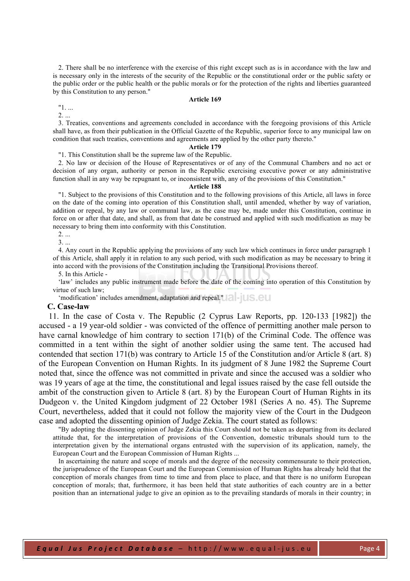2. There shall be no interference with the exercise of this right except such as is in accordance with the law and is necessary only in the interests of the security of the Republic or the constitutional order or the public safety or the public order or the public health or the public morals or for the protection of the rights and liberties guaranteed by this Constitution to any person."

#### **Article 169**

"1. ... 2. ...

3. Treaties, conventions and agreements concluded in accordance with the foregoing provisions of this Article shall have, as from their publication in the Official Gazette of the Republic, superior force to any municipal law on condition that such treaties, conventions and agreements are applied by the other party thereto."

# **Article 179**

"1. This Constitution shall be the supreme law of the Republic.

2. No law or decision of the House of Representatives or of any of the Communal Chambers and no act or decision of any organ, authority or person in the Republic exercising executive power or any administrative function shall in any way be repugnant to, or inconsistent with, any of the provisions of this Constitution."

## **Article 188**

"1. Subject to the provisions of this Constitution and to the following provisions of this Article, all laws in force on the date of the coming into operation of this Constitution shall, until amended, whether by way of variation, addition or repeal, by any law or communal law, as the case may be, made under this Constitution, continue in force on or after that date, and shall, as from that date be construed and applied with such modification as may be necessary to bring them into conformity with this Constitution.

2. ...

3. ...

4. Any court in the Republic applying the provisions of any such law which continues in force under paragraph 1 of this Article, shall apply it in relation to any such period, with such modification as may be necessary to bring it into accord with the provisions of the Constitution including the Transitional Provisions thereof.

5. In this Article -

'law' includes any public instrument made before the date of the coming into operation of this Constitution by virtue of such law;

'modification' includes amendment, adaptation and repeal."

#### **C. Case-law**

11. In the case of Costa v. The Republic (2 Cyprus Law Reports, pp. 120-133 [1982]) the accused - a 19 year-old soldier - was convicted of the offence of permitting another male person to have carnal knowledge of him contrary to section 171(b) of the Criminal Code. The offence was committed in a tent within the sight of another soldier using the same tent. The accused had contended that section 171(b) was contrary to Article 15 of the Constitution and/or Article 8 (art. 8) of the European Convention on Human Rights. In its judgment of 8 June 1982 the Supreme Court noted that, since the offence was not committed in private and since the accused was a soldier who was 19 years of age at the time, the constitutional and legal issues raised by the case fell outside the ambit of the construction given to Article 8 (art. 8) by the European Court of Human Rights in its Dudgeon v. the United Kingdom judgment of 22 October 1981 (Series A no. 45). The Supreme Court, nevertheless, added that it could not follow the majority view of the Court in the Dudgeon case and adopted the dissenting opinion of Judge Zekia. The court stated as follows:

"By adopting the dissenting opinion of Judge Zekia this Court should not be taken as departing from its declared attitude that, for the interpretation of provisions of the Convention, domestic tribunals should turn to the interpretation given by the international organs entrusted with the supervision of its application, namely, the European Court and the European Commission of Human Rights ...

In ascertaining the nature and scope of morals and the degree of the necessity commensurate to their protection, the jurisprudence of the European Court and the European Commission of Human Rights has already held that the conception of morals changes from time to time and from place to place, and that there is no uniform European conception of morals; that, furthermore, it has been held that state authorities of each country are in a better position than an international judge to give an opinion as to the prevailing standards of morals in their country; in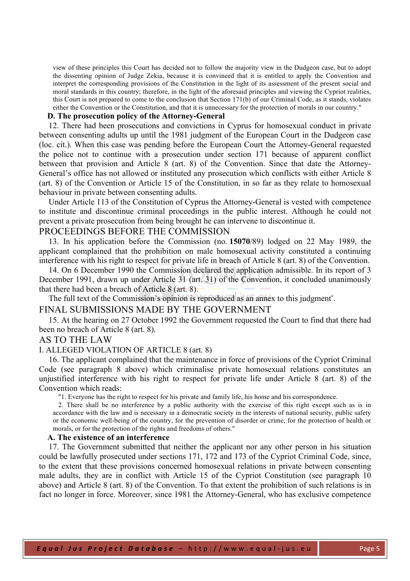view of these principles this Court has decided not to follow the majority view in the Dudgeon case, but to adopt the dissenting opinion of Judge Zekia, because it is convinced that it is entitled to apply the Convention and interpret the corresponding provisions of the Constitution in the light of its assessment of the present social and moral standards in this country; therefore, in the light of the aforesaid principles and viewing the Cypriot realities, this Court is not prepared to come to the conclusion that Section 171(b) of our Criminal Code, as it stands, violates either the Convention or the Constitution, and that it is unnecessary for the protection of morals in our country."

# **D. The prosecution policy of the Attorney-General**

12. There had been prosecutions and convictions in Cyprus for homosexual conduct in private between consenting adults up until the 1981 judgment of the European Court in the Dudgeon case (loc. cit.). When this case was pending before the European Court the Attorney-General requested the police not to continue with a prosecution under section 171 because of apparent conflict between that provision and Article 8 (art. 8) of the Convention. Since that date the Attorney-General's office has not allowed or instituted any prosecution which conflicts with either Article 8 (art. 8) of the Convention or Article 15 of the Constitution, in so far as they relate to homosexual behaviour in private between consenting adults.

Under Article 113 of the Constitution of Cyprus the Attorney-General is vested with competence to institute and discontinue criminal proceedings in the public interest. Although he could not prevent a private prosecution from being brought he can intervene to discontinue it.

# PROCEEDINGS BEFORE THE COMMISSION

13. In his application before the Commission (no. **15070**/89) lodged on 22 May 1989, the applicant complained that the prohibition on male homosexual activity constituted a continuing interference with his right to respect for private life in breach of Article 8 (art. 8) of the Convention.

14. On 6 December 1990 the Commission declared the application admissible. In its report of 3 December 1991, drawn up under Article 31 (art. 31) of the Convention, it concluded unanimously that there had been a breach of Article 8 (art. 8).

The full text of the Commission's opinion is reproduced as an annex to this judgment<sup>\*</sup>.

# FINAL SUBMISSIONS MADE BY THE GOVERNMENT

15. At the hearing on 27 October 1992 the Government requested the Court to find that there had been no breach of Article 8 (art. 8).

# AS TO THE LAW

# I. ALLEGED VIOLATION OF ARTICLE 8 (art. 8)

16. The applicant complained that the maintenance in force of provisions of the Cypriot Criminal Code (see paragraph 8 above) which criminalise private homosexual relations constitutes an unjustified interference with his right to respect for private life under Article 8 (art. 8) of the Convention which reads:

"1. Everyone has the right to respect for his private and family life, his home and his correspondence.

2. There shall be no interference by a public authority with the exercise of this right except such as is in accordance with the law and is necessary in a democratic society in the interests of national security, public safety or the economic well-being of the country, for the prevention of disorder or crime, for the protection of health or morals, or for the protection of the rights and freedoms of others."

#### **A. The existence of an interference**

17. The Government submitted that neither the applicant nor any other person in his situation could be lawfully prosecuted under sections 171, 172 and 173 of the Cypriot Criminal Code, since, to the extent that these provisions concerned homosexual relations in private between consenting male adults, they are in conflict with Article 15 of the Cypriot Constitution (see paragraph 10 above) and Article 8 (art. 8) of the Convention. To that extent the prohibition of such relations is in fact no longer in force. Moreover, since 1981 the Attorney-General, who has exclusive competence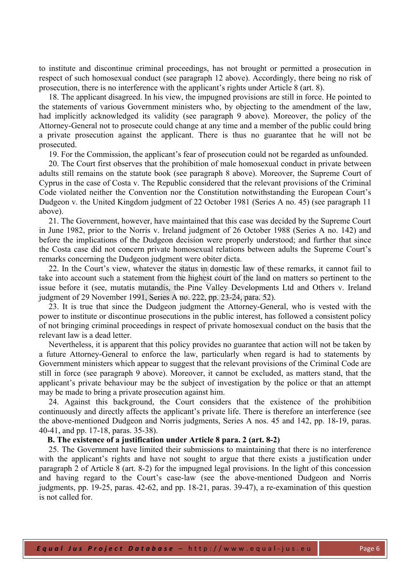to institute and discontinue criminal proceedings, has not brought or permitted a prosecution in respect of such homosexual conduct (see paragraph 12 above). Accordingly, there being no risk of prosecution, there is no interference with the applicant's rights under Article 8 (art. 8).

18. The applicant disagreed. In his view, the impugned provisions are still in force. He pointed to the statements of various Government ministers who, by objecting to the amendment of the law, had implicitly acknowledged its validity (see paragraph 9 above). Moreover, the policy of the Attorney-General not to prosecute could change at any time and a member of the public could bring a private prosecution against the applicant. There is thus no guarantee that he will not be prosecuted.

19. For the Commission, the applicant's fear of prosecution could not be regarded as unfounded.

20. The Court first observes that the prohibition of male homosexual conduct in private between adults still remains on the statute book (see paragraph 8 above). Moreover, the Supreme Court of Cyprus in the case of Costa v. The Republic considered that the relevant provisions of the Criminal Code violated neither the Convention nor the Constitution notwithstanding the European Court's Dudgeon v. the United Kingdom judgment of 22 October 1981 (Series A no. 45) (see paragraph 11 above).

21. The Government, however, have maintained that this case was decided by the Supreme Court in June 1982, prior to the Norris v. Ireland judgment of 26 October 1988 (Series A no. 142) and before the implications of the Dudgeon decision were properly understood; and further that since the Costa case did not concern private homosexual relations between adults the Supreme Court's remarks concerning the Dudgeon judgment were obiter dicta.

22. In the Court's view, whatever the status in domestic law of these remarks, it cannot fail to take into account such a statement from the highest court of the land on matters so pertinent to the issue before it (see, mutatis mutandis, the Pine Valley Developments Ltd and Others v. Ireland judgment of 29 November 1991, Series A no. 222, pp. 23-24, para. 52).

23. It is true that since the Dudgeon judgment the Attorney-General, who is vested with the power to institute or discontinue prosecutions in the public interest, has followed a consistent policy of not bringing criminal proceedings in respect of private homosexual conduct on the basis that the relevant law is a dead letter.

Nevertheless, it is apparent that this policy provides no guarantee that action will not be taken by a future Attorney-General to enforce the law, particularly when regard is had to statements by Government ministers which appear to suggest that the relevant provisions of the Criminal Code are still in force (see paragraph 9 above). Moreover, it cannot be excluded, as matters stand, that the applicant's private behaviour may be the subject of investigation by the police or that an attempt may be made to bring a private prosecution against him.

24. Against this background, the Court considers that the existence of the prohibition continuously and directly affects the applicant's private life. There is therefore an interference (see the above-mentioned Dudgeon and Norris judgments, Series A nos. 45 and 142, pp. 18-19, paras. 40-41, and pp. 17-18, paras. 35-38).

## **B. The existence of a justification under Article 8 para. 2 (art. 8-2)**

25. The Government have limited their submissions to maintaining that there is no interference with the applicant's rights and have not sought to argue that there exists a justification under paragraph 2 of Article 8 (art. 8-2) for the impugned legal provisions. In the light of this concession and having regard to the Court's case-law (see the above-mentioned Dudgeon and Norris judgments, pp. 19-25, paras. 42-62, and pp. 18-21, paras. 39-47), a re-examination of this question is not called for.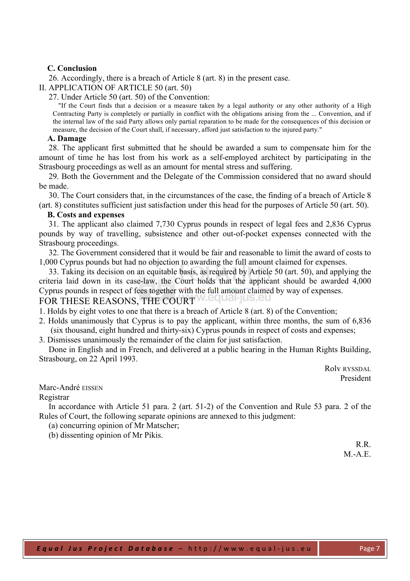# **C. Conclusion**

26. Accordingly, there is a breach of Article 8 (art. 8) in the present case.

II. APPLICATION OF ARTICLE 50 (art. 50)

27. Under Article 50 (art. 50) of the Convention:

"If the Court finds that a decision or a measure taken by a legal authority or any other authority of a High Contracting Party is completely or partially in conflict with the obligations arising from the ... Convention, and if the internal law of the said Party allows only partial reparation to be made for the consequences of this decision or measure, the decision of the Court shall, if necessary, afford just satisfaction to the injured party."

## **A. Damage**

28. The applicant first submitted that he should be awarded a sum to compensate him for the amount of time he has lost from his work as a self-employed architect by participating in the Strasbourg proceedings as well as an amount for mental stress and suffering.

29. Both the Government and the Delegate of the Commission considered that no award should be made.

30. The Court considers that, in the circumstances of the case, the finding of a breach of Article 8 (art. 8) constitutes sufficient just satisfaction under this head for the purposes of Article 50 (art. 50).

## **B. Costs and expenses**

31. The applicant also claimed 7,730 Cyprus pounds in respect of legal fees and 2,836 Cyprus pounds by way of travelling, subsistence and other out-of-pocket expenses connected with the Strasbourg proceedings.

32. The Government considered that it would be fair and reasonable to limit the award of costs to 1,000 Cyprus pounds but had no objection to awarding the full amount claimed for expenses.

33. Taking its decision on an equitable basis, as required by Article 50 (art. 50), and applying the criteria laid down in its case-law, the Court holds that the applicant should be awarded 4,000 Cyprus pounds in respect of fees together with the full amount claimed by way of expenses. FOR THESE REASONS, THE COURT Wedual-jus.eu

1. Holds by eight votes to one that there is a breach of Article 8 (art. 8) of the Convention;

- 2. Holds unanimously that Cyprus is to pay the applicant, within three months, the sum of 6,836 (six thousand, eight hundred and thirty-six) Cyprus pounds in respect of costs and expenses;
- 3. Dismisses unanimously the remainder of the claim for just satisfaction.

Done in English and in French, and delivered at a public hearing in the Human Rights Building, Strasbourg, on 22 April 1993.

> Rolv RYSSDAL President

Marc-André EISSEN

#### Registrar

In accordance with Article 51 para. 2 (art. 51-2) of the Convention and Rule 53 para. 2 of the Rules of Court, the following separate opinions are annexed to this judgment:

(a) concurring opinion of Mr Matscher;

(b) dissenting opinion of Mr Pikis.

R<sub>R</sub>  $M.-A.E.$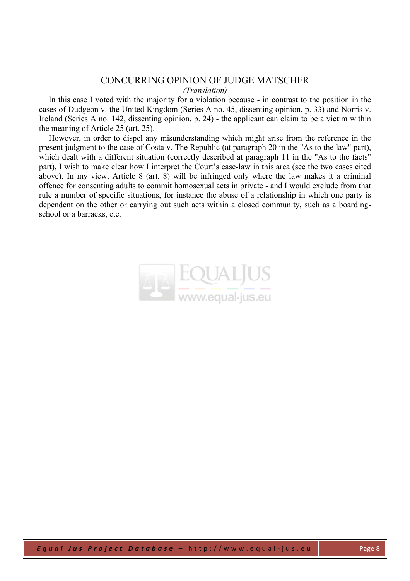# CONCURRING OPINION OF JUDGE MATSCHER *(Translation)*

In this case I voted with the majority for a violation because - in contrast to the position in the cases of Dudgeon v. the United Kingdom (Series A no. 45, dissenting opinion, p. 33) and Norris v. Ireland (Series A no. 142, dissenting opinion, p. 24) - the applicant can claim to be a victim within the meaning of Article 25 (art. 25).

However, in order to dispel any misunderstanding which might arise from the reference in the present judgment to the case of Costa v. The Republic (at paragraph 20 in the "As to the law" part), which dealt with a different situation (correctly described at paragraph 11 in the "As to the facts" part), I wish to make clear how I interpret the Court's case-law in this area (see the two cases cited above). In my view, Article 8 (art. 8) will be infringed only where the law makes it a criminal offence for consenting adults to commit homosexual acts in private - and I would exclude from that rule a number of specific situations, for instance the abuse of a relationship in which one party is dependent on the other or carrying out such acts within a closed community, such as a boardingschool or a barracks, etc.

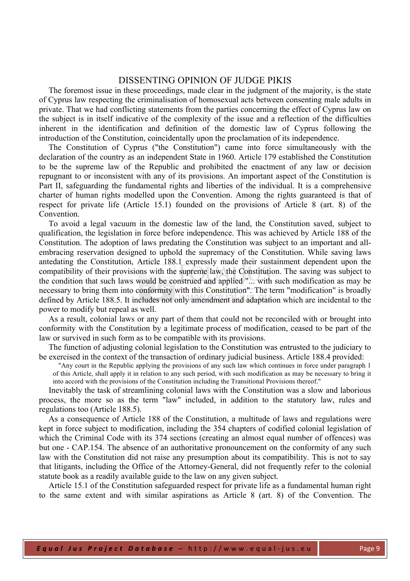# DISSENTING OPINION OF JUDGE PIKIS

The foremost issue in these proceedings, made clear in the judgment of the majority, is the state of Cyprus law respecting the criminalisation of homosexual acts between consenting male adults in private. That we had conflicting statements from the parties concerning the effect of Cyprus law on the subject is in itself indicative of the complexity of the issue and a reflection of the difficulties inherent in the identification and definition of the domestic law of Cyprus following the introduction of the Constitution, coincidentally upon the proclamation of its independence.

The Constitution of Cyprus ("the Constitution") came into force simultaneously with the declaration of the country as an independent State in 1960. Article 179 established the Constitution to be the supreme law of the Republic and prohibited the enactment of any law or decision repugnant to or inconsistent with any of its provisions. An important aspect of the Constitution is Part II, safeguarding the fundamental rights and liberties of the individual. It is a comprehensive charter of human rights modelled upon the Convention. Among the rights guaranteed is that of respect for private life (Article 15.1) founded on the provisions of Article 8 (art. 8) of the Convention.

To avoid a legal vacuum in the domestic law of the land, the Constitution saved, subject to qualification, the legislation in force before independence. This was achieved by Article 188 of the Constitution. The adoption of laws predating the Constitution was subject to an important and allembracing reservation designed to uphold the supremacy of the Constitution. While saving laws antedating the Constitution, Article 188.1 expressly made their sustainment dependent upon the compatibility of their provisions with the supreme law, the Constitution. The saving was subject to the condition that such laws would be construed and applied "... with such modification as may be necessary to bring them into conformity with this Constitution". The term "modification" is broadly defined by Article 188.5. It includes not only amendment and adaptation which are incidental to the power to modify but repeal as well.

As a result, colonial laws or any part of them that could not be reconciled with or brought into conformity with the Constitution by a legitimate process of modification, ceased to be part of the law or survived in such form as to be compatible with its provisions.

The function of adjusting colonial legislation to the Constitution was entrusted to the judiciary to be exercised in the context of the transaction of ordinary judicial business. Article 188.4 provided:

"Any court in the Republic applying the provisions of any such law which continues in force under paragraph 1 of this Article, shall apply it in relation to any such period, with such modification as may be necessary to bring it into accord with the provisions of the Constitution including the Transitional Provisions thereof."

Inevitably the task of streamlining colonial laws with the Constitution was a slow and laborious process, the more so as the term "law" included, in addition to the statutory law, rules and regulations too (Article 188.5).

As a consequence of Article 188 of the Constitution, a multitude of laws and regulations were kept in force subject to modification, including the 354 chapters of codified colonial legislation of which the Criminal Code with its 374 sections (creating an almost equal number of offences) was but one - CAP.154. The absence of an authoritative pronouncement on the conformity of any such law with the Constitution did not raise any presumption about its compatibility. This is not to say that litigants, including the Office of the Attorney-General, did not frequently refer to the colonial statute book as a readily available guide to the law on any given subject.

Article 15.1 of the Constitution safeguarded respect for private life as a fundamental human right to the same extent and with similar aspirations as Article 8 (art. 8) of the Convention. The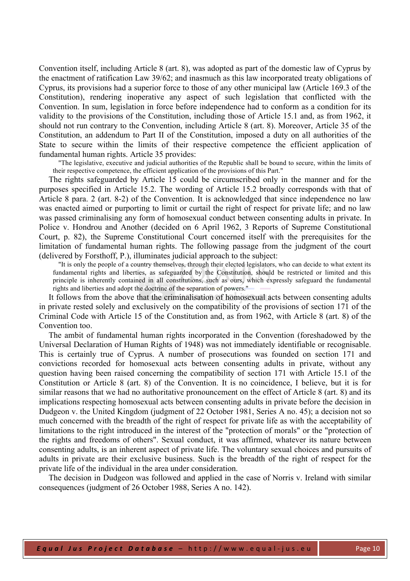Convention itself, including Article 8 (art. 8), was adopted as part of the domestic law of Cyprus by the enactment of ratification Law 39/62; and inasmuch as this law incorporated treaty obligations of Cyprus, its provisions had a superior force to those of any other municipal law (Article 169.3 of the Constitution), rendering inoperative any aspect of such legislation that conflicted with the Convention. In sum, legislation in force before independence had to conform as a condition for its validity to the provisions of the Constitution, including those of Article 15.1 and, as from 1962, it should not run contrary to the Convention, including Article 8 (art. 8). Moreover, Article 35 of the Constitution, an addendum to Part II of the Constitution, imposed a duty on all authorities of the State to secure within the limits of their respective competence the efficient application of fundamental human rights. Article 35 provides:

"The legislative, executive and judicial authorities of the Republic shall be bound to secure, within the limits of their respective competence, the efficient application of the provisions of this Part."

The rights safeguarded by Article 15 could be circumscribed only in the manner and for the purposes specified in Article 15.2. The wording of Article 15.2 broadly corresponds with that of Article 8 para. 2 (art. 8-2) of the Convention. It is acknowledged that since independence no law was enacted aimed or purporting to limit or curtail the right of respect for private life; and no law was passed criminalising any form of homosexual conduct between consenting adults in private. In Police v. Hondrou and Another (decided on 6 April 1962, 3 Reports of Supreme Constitutional Court, p. 82), the Supreme Constitutional Court concerned itself with the prerequisites for the limitation of fundamental human rights. The following passage from the judgment of the court (delivered by Forsthoff, P.), illuminates judicial approach to the subject:

"It is only the people of a country themselves, through their elected legislators, who can decide to what extent its fundamental rights and liberties, as safeguarded by the Constitution, should be restricted or limited and this principle is inherently contained in all constitutions, such as ours, which expressly safeguard the fundamental rights and liberties and adopt the doctrine of the separation of powers."

It follows from the above that the criminalisation of homosexual acts between consenting adults in private rested solely and exclusively on the compatibility of the provisions of section 171 of the Criminal Code with Article 15 of the Constitution and, as from 1962, with Article 8 (art. 8) of the Convention too.

The ambit of fundamental human rights incorporated in the Convention (foreshadowed by the Universal Declaration of Human Rights of 1948) was not immediately identifiable or recognisable. This is certainly true of Cyprus. A number of prosecutions was founded on section 171 and convictions recorded for homosexual acts between consenting adults in private, without any question having been raised concerning the compatibility of section 171 with Article 15.1 of the Constitution or Article 8 (art. 8) of the Convention. It is no coincidence, I believe, but it is for similar reasons that we had no authoritative pronouncement on the effect of Article 8 (art. 8) and its implications respecting homosexual acts between consenting adults in private before the decision in Dudgeon v. the United Kingdom (judgment of 22 October 1981, Series A no. 45); a decision not so much concerned with the breadth of the right of respect for private life as with the acceptability of limitations to the right introduced in the interest of the "protection of morals" or the "protection of the rights and freedoms of others". Sexual conduct, it was affirmed, whatever its nature between consenting adults, is an inherent aspect of private life. The voluntary sexual choices and pursuits of adults in private are their exclusive business. Such is the breadth of the right of respect for the private life of the individual in the area under consideration.

The decision in Dudgeon was followed and applied in the case of Norris v. Ireland with similar consequences (judgment of 26 October 1988, Series A no. 142).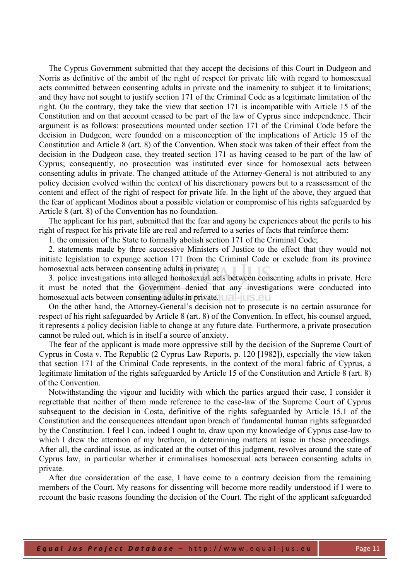The Cyprus Government submitted that they accept the decisions of this Court in Dudgeon and Norris as definitive of the ambit of the right of respect for private life with regard to homosexual acts committed between consenting adults in private and the inamenity to subject it to limitations; and they have not sought to justify section 171 of the Criminal Code as a legitimate limitation of the right. On the contrary, they take the view that section 171 is incompatible with Article 15 of the Constitution and on that account ceased to be part of the law of Cyprus since independence. Their argument is as follows: prosecutions mounted under section 171 of the Criminal Code before the decision in Dudgeon, were founded on a misconception of the implications of Article 15 of the Constitution and Article 8 (art. 8) of the Convention. When stock was taken of their effect from the decision in the Dudgeon case, they treated section 171 as having ceased to be part of the law of Cyprus; consequently, no prosecution was instituted ever since for homosexual acts between consenting adults in private. The changed attitude of the Attorney-General is not attributed to any policy decision evolved within the context of his discretionary powers but to a reassessment of the content and effect of the right of respect for private life. In the light of the above, they argued that the fear of applicant Modinos about a possible violation or compromise of his rights safeguarded by Article 8 (art. 8) of the Convention has no foundation.

The applicant for his part, submitted that the fear and agony he experiences about the perils to his right of respect for his private life are real and referred to a series of facts that reinforce them:

1. the omission of the State to formally abolish section 171 of the Criminal Code;

2. statements made by three successive Ministers of Justice to the effect that they would not initiate legislation to expunge section 171 from the Criminal Code or exclude from its province homosexual acts between consenting adults in private;

3. police investigations into alleged homosexual acts between consenting adults in private. Here it must be noted that the Government denied that any investigations were conducted into homosexual acts between consenting adults in private.

On the other hand, the Attorney-General's decision not to prosecute is no certain assurance for respect of his right safeguarded by Article 8 (art. 8) of the Convention. In effect, his counsel argued, it represents a policy decision liable to change at any future date. Furthermore, a private prosecution cannot be ruled out, which is in itself a source of anxiety.

The fear of the applicant is made more oppressive still by the decision of the Supreme Court of Cyprus in Costa v. The Republic (2 Cyprus Law Reports, p. 120 [1982]), especially the view taken that section 171 of the Criminal Code represents, in the context of the moral fabric of Cyprus, a legitimate limitation of the rights safeguarded by Article 15 of the Constitution and Article 8 (art. 8) of the Convention.

Notwithstanding the vigour and lucidity with which the parties argued their case, I consider it regrettable that neither of them made reference to the case-law of the Supreme Court of Cyprus subsequent to the decision in Costa, definitive of the rights safeguarded by Article 15.1 of the Constitution and the consequences attendant upon breach of fundamental human rights safeguarded by the Constitution. I feel I can, indeed I ought to, draw upon my knowledge of Cyprus case-law to which I drew the attention of my brethren, in determining matters at issue in these proceedings. After all, the cardinal issue, as indicated at the outset of this judgment, revolves around the state of Cyprus law, in particular whether it criminalises homosexual acts between consenting adults in private.

After due consideration of the case, I have come to a contrary decision from the remaining members of the Court. My reasons for dissenting will become more readily understood if I were to recount the basic reasons founding the decision of the Court. The right of the applicant safeguarded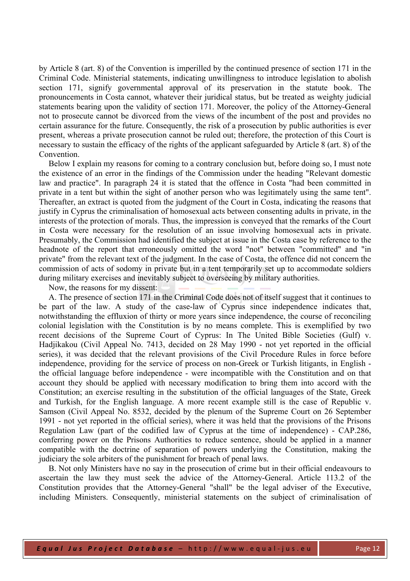by Article 8 (art. 8) of the Convention is imperilled by the continued presence of section 171 in the Criminal Code. Ministerial statements, indicating unwillingness to introduce legislation to abolish section 171, signify governmental approval of its preservation in the statute book. The pronouncements in Costa cannot, whatever their juridical status, but be treated as weighty judicial statements bearing upon the validity of section 171. Moreover, the policy of the Attorney-General not to prosecute cannot be divorced from the views of the incumbent of the post and provides no certain assurance for the future. Consequently, the risk of a prosecution by public authorities is ever present, whereas a private prosecution cannot be ruled out; therefore, the protection of this Court is necessary to sustain the efficacy of the rights of the applicant safeguarded by Article 8 (art. 8) of the Convention.

Below I explain my reasons for coming to a contrary conclusion but, before doing so, I must note the existence of an error in the findings of the Commission under the heading "Relevant domestic law and practice". In paragraph 24 it is stated that the offence in Costa "had been committed in private in a tent but within the sight of another person who was legitimately using the same tent". Thereafter, an extract is quoted from the judgment of the Court in Costa, indicating the reasons that justify in Cyprus the criminalisation of homosexual acts between consenting adults in private, in the interests of the protection of morals. Thus, the impression is conveyed that the remarks of the Court in Costa were necessary for the resolution of an issue involving homosexual acts in private. Presumably, the Commission had identified the subject at issue in the Costa case by reference to the headnote of the report that erroneously omitted the word "not" between "committed" and "in private" from the relevant text of the judgment. In the case of Costa, the offence did not concern the commission of acts of sodomy in private but in a tent temporarily set up to accommodate soldiers during military exercises and inevitably subject to overseeing by military authorities.

Now, the reasons for my dissent:

A. The presence of section 171 in the Criminal Code does not of itself suggest that it continues to be part of the law. A study of the case-law of Cyprus since independence indicates that, notwithstanding the effluxion of thirty or more years since independence, the course of reconciling colonial legislation with the Constitution is by no means complete. This is exemplified by two recent decisions of the Supreme Court of Cyprus: In The United Bible Societies (Gulf) v. Hadjikakou (Civil Appeal No. 7413, decided on 28 May 1990 - not yet reported in the official series), it was decided that the relevant provisions of the Civil Procedure Rules in force before independence, providing for the service of process on non-Greek or Turkish litigants, in English the official language before independence - were incompatible with the Constitution and on that account they should be applied with necessary modification to bring them into accord with the Constitution; an exercise resulting in the substitution of the official languages of the State, Greek and Turkish, for the English language. A more recent example still is the case of Republic v. Samson (Civil Appeal No. 8532, decided by the plenum of the Supreme Court on 26 September 1991 - not yet reported in the official series), where it was held that the provisions of the Prisons Regulation Law (part of the codified law of Cyprus at the time of independence) - CAP.286, conferring power on the Prisons Authorities to reduce sentence, should be applied in a manner compatible with the doctrine of separation of powers underlying the Constitution, making the judiciary the sole arbiters of the punishment for breach of penal laws.

B. Not only Ministers have no say in the prosecution of crime but in their official endeavours to ascertain the law they must seek the advice of the Attorney-General. Article 113.2 of the Constitution provides that the Attorney-General "shall" be the legal adviser of the Executive, including Ministers. Consequently, ministerial statements on the subject of criminalisation of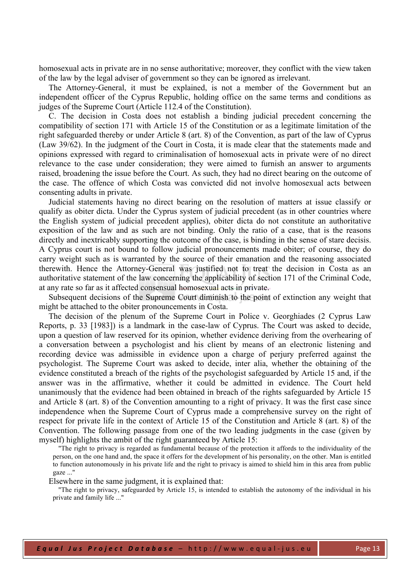homosexual acts in private are in no sense authoritative; moreover, they conflict with the view taken of the law by the legal adviser of government so they can be ignored as irrelevant.

The Attorney-General, it must be explained, is not a member of the Government but an independent officer of the Cyprus Republic, holding office on the same terms and conditions as judges of the Supreme Court (Article 112.4 of the Constitution).

C. The decision in Costa does not establish a binding judicial precedent concerning the compatibility of section 171 with Article 15 of the Constitution or as a legitimate limitation of the right safeguarded thereby or under Article 8 (art. 8) of the Convention, as part of the law of Cyprus (Law 39/62). In the judgment of the Court in Costa, it is made clear that the statements made and opinions expressed with regard to criminalisation of homosexual acts in private were of no direct relevance to the case under consideration; they were aimed to furnish an answer to arguments raised, broadening the issue before the Court. As such, they had no direct bearing on the outcome of the case. The offence of which Costa was convicted did not involve homosexual acts between consenting adults in private.

Judicial statements having no direct bearing on the resolution of matters at issue classify or qualify as obiter dicta. Under the Cyprus system of judicial precedent (as in other countries where the English system of judicial precedent applies), obiter dicta do not constitute an authoritative exposition of the law and as such are not binding. Only the ratio of a case, that is the reasons directly and inextricably supporting the outcome of the case, is binding in the sense of stare decisis. A Cyprus court is not bound to follow judicial pronouncements made obiter; of course, they do carry weight such as is warranted by the source of their emanation and the reasoning associated therewith. Hence the Attorney-General was justified not to treat the decision in Costa as an authoritative statement of the law concerning the applicability of section 171 of the Criminal Code, at any rate so far as it affected consensual homosexual acts in private.

Subsequent decisions of the Supreme Court diminish to the point of extinction any weight that might be attached to the obiter pronouncements in Costa.

The decision of the plenum of the Supreme Court in Police v. Georghiades (2 Cyprus Law Reports, p. 33 [1983]) is a landmark in the case-law of Cyprus. The Court was asked to decide, upon a question of law reserved for its opinion, whether evidence deriving from the overhearing of a conversation between a psychologist and his client by means of an electronic listening and recording device was admissible in evidence upon a charge of perjury preferred against the psychologist. The Supreme Court was asked to decide, inter alia, whether the obtaining of the evidence constituted a breach of the rights of the psychologist safeguarded by Article 15 and, if the answer was in the affirmative, whether it could be admitted in evidence. The Court held unanimously that the evidence had been obtained in breach of the rights safeguarded by Article 15 and Article 8 (art. 8) of the Convention amounting to a right of privacy. It was the first case since independence when the Supreme Court of Cyprus made a comprehensive survey on the right of respect for private life in the context of Article 15 of the Constitution and Article 8 (art. 8) of the Convention. The following passage from one of the two leading judgments in the case (given by myself) highlights the ambit of the right guaranteed by Article 15:

"The right to privacy is regarded as fundamental because of the protection it affords to the individuality of the person, on the one hand and, the space it offers for the development of his personality, on the other. Man is entitled to function autonomously in his private life and the right to privacy is aimed to shield him in this area from public gaze ..."

Elsewhere in the same judgment, it is explained that:

"The right to privacy, safeguarded by Article 15, is intended to establish the autonomy of the individual in his private and family life ..."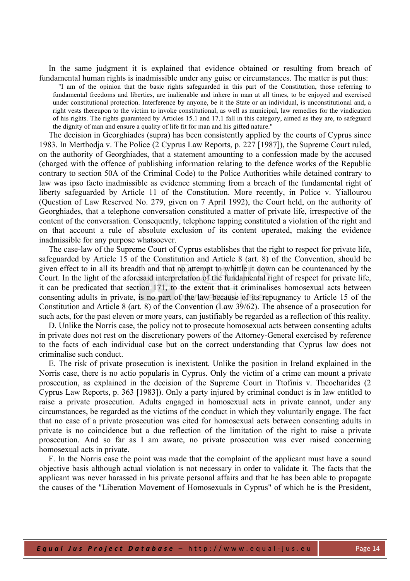In the same judgment it is explained that evidence obtained or resulting from breach of fundamental human rights is inadmissible under any guise or circumstances. The matter is put thus:

"I am of the opinion that the basic rights safeguarded in this part of the Constitution, those referring to fundamental freedoms and liberties, are inalienable and inhere in man at all times, to be enjoyed and exercised under constitutional protection. Interference by anyone, be it the State or an individual, is unconstitutional and, a right vests thereupon to the victim to invoke constitutional, as well as municipal, law remedies for the vindication of his rights. The rights guaranteed by Articles 15.1 and 17.1 fall in this category, aimed as they are, to safeguard the dignity of man and ensure a quality of life fit for man and his gifted nature."

The decision in Georghiades (supra) has been consistently applied by the courts of Cyprus since 1983. In Merthodja v. The Police (2 Cyprus Law Reports, p. 227 [1987]), the Supreme Court ruled, on the authority of Georghiades, that a statement amounting to a confession made by the accused (charged with the offence of publishing information relating to the defence works of the Republic contrary to section 50A of the Criminal Code) to the Police Authorities while detained contrary to law was ipso facto inadmissible as evidence stemming from a breach of the fundamental right of liberty safeguarded by Article 11 of the Constitution. More recently, in Police v. Yiallourou (Question of Law Reserved No. 279, given on 7 April 1992), the Court held, on the authority of Georghiades, that a telephone conversation constituted a matter of private life, irrespective of the content of the conversation. Consequently, telephone tapping constituted a violation of the right and on that account a rule of absolute exclusion of its content operated, making the evidence inadmissible for any purpose whatsoever.

The case-law of the Supreme Court of Cyprus establishes that the right to respect for private life, safeguarded by Article 15 of the Constitution and Article 8 (art. 8) of the Convention, should be given effect to in all its breadth and that no attempt to whittle it down can be countenanced by the Court. In the light of the aforesaid interpretation of the fundamental right of respect for private life, it can be predicated that section 171, to the extent that it criminalises homosexual acts between consenting adults in private, is no part of the law because of its repugnancy to Article 15 of the Constitution and Article 8 (art. 8) of the Convention (Law 39/62). The absence of a prosecution for such acts, for the past eleven or more years, can justifiably be regarded as a reflection of this reality.

D. Unlike the Norris case, the policy not to prosecute homosexual acts between consenting adults in private does not rest on the discretionary powers of the Attorney-General exercised by reference to the facts of each individual case but on the correct understanding that Cyprus law does not criminalise such conduct.

E. The risk of private prosecution is inexistent. Unlike the position in Ireland explained in the Norris case, there is no actio popularis in Cyprus. Only the victim of a crime can mount a private prosecution, as explained in the decision of the Supreme Court in Ttofinis v. Theocharides (2 Cyprus Law Reports, p. 363 [1983]). Only a party injured by criminal conduct is in law entitled to raise a private prosecution. Adults engaged in homosexual acts in private cannot, under any circumstances, be regarded as the victims of the conduct in which they voluntarily engage. The fact that no case of a private prosecution was cited for homosexual acts between consenting adults in private is no coincidence but a due reflection of the limitation of the right to raise a private prosecution. And so far as I am aware, no private prosecution was ever raised concerning homosexual acts in private.

F. In the Norris case the point was made that the complaint of the applicant must have a sound objective basis although actual violation is not necessary in order to validate it. The facts that the applicant was never harassed in his private personal affairs and that he has been able to propagate the causes of the "Liberation Movement of Homosexuals in Cyprus" of which he is the President,